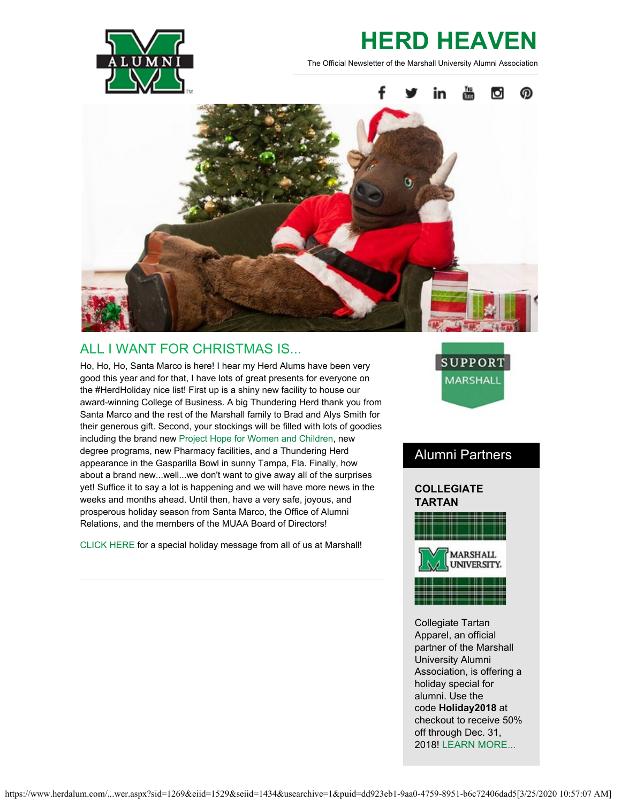

# **HERD HEAVEN**

The Official Newsletter of the Marshall University Alumni Association



# ALL I WANT FOR CHRISTMAS IS...

Ho, Ho, Ho, Santa Marco is here! I hear my Herd Alums have been very good this year and for that, I have lots of great presents for everyone on the #HerdHoliday nice list! First up is a shiny new facility to house our award-winning College of Business. A big Thundering Herd thank you from Santa Marco and the rest of the Marshall family to Brad and Alys Smith for their generous gift. Second, your stockings will be filled with lots of goodies including the brand new [Project Hope for Women and Children,](https://www.marshall.edu/ucomm/2018/09/07/marshall-university-receives-2-6-million-grant-for-residential-treatment-facility/) new degree programs, new Pharmacy facilities, and a Thundering Herd appearance in the Gasparilla Bowl in sunny Tampa, Fla. Finally, how about a brand new...well...we don't want to give away all of the surprises yet! Suffice it to say a lot is happening and we will have more news in the weeks and months ahead. Until then, have a very safe, joyous, and prosperous holiday season from Santa Marco, the Office of Alumni Relations, and the members of the MUAA Board of Directors!

[CLICK HERE](https://www.youtube.com/watch?v=6qusyePfxGk&feature=youtu.be) for a special holiday message from all of us at Marshall!



# Alumni Partners

## **COLLEGIATE TARTAN**



Collegiate Tartan Apparel, an official partner of the Marshall University Alumni Association, is offering a holiday special for alumni. Use the code **Holiday2018** at checkout to receive 50% off through Dec. 31, 2018! [LEARN MORE...](https://www.collegiatetartan.com/default.asp)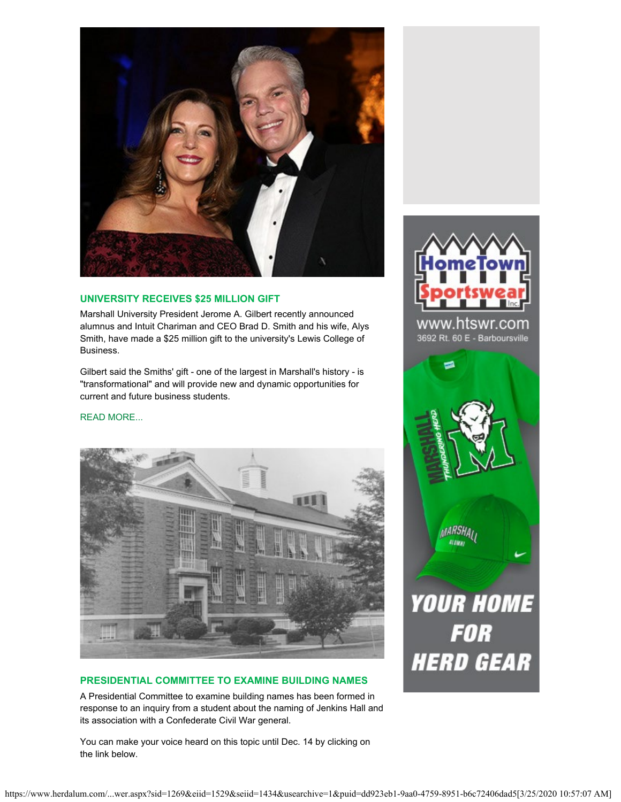

#### **UNIVERSITY RECEIVES \$25 MILLION GIFT**

Marshall University President Jerome A. Gilbert recently announced alumnus and Intuit Chariman and CEO Brad D. Smith and his wife, Alys Smith, have made a \$25 million gift to the university's Lewis College of Business.

Gilbert said the Smiths' gift - one of the largest in Marshall's history - is "transformational" and will provide new and dynamic opportunities for current and future business students.

#### [READ MORE...](https://www.marshall.edu/ucomm/2018/11/08/marshall-university-receives-25-million-gift-for-college-of-business/)



#### **PRESIDENTIAL COMMITTEE TO EXAMINE BUILDING NAMES**

A Presidential Committee to examine building names has been formed in response to an inquiry from a student about the naming of Jenkins Hall and its association with a Confederate Civil War general.

You can make your voice heard on this topic until Dec. 14 by clicking on the link below.



www.htswr.com 3692 Rt. 60 E - Barboursville

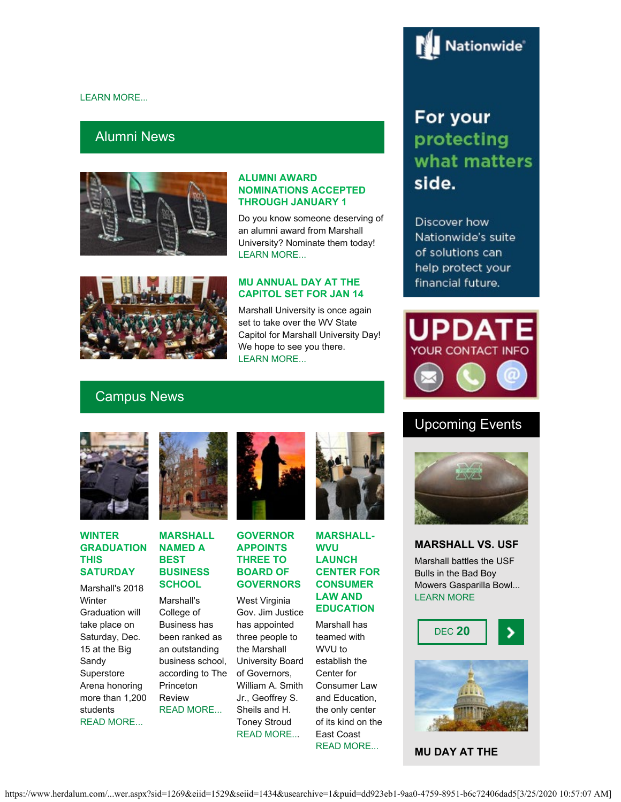#### [LEARN MORE...](https://www.marshall.edu/president/building-names/)

## Alumni News



#### **ALUMNI AWARD NOMINATIONS ACCEPTED THROUGH JANUARY 1**

Do you know someone deserving of an alumni award from Marshall University? Nominate them today! [LEARN MORE...](https://www.herdalum.com/s/1269/index.aspx?sid=1269&gid=1&pgid=1006)

## **MU ANNUAL DAY AT THE CAPITOL SET FOR JAN 14**

Marshall University is once again set to take over the WV State Capitol for Marshall University Day! We hope to see you there. [LEARN MORE...](https://www.herdalum.com/s/1269/index.aspx?sid=1269&gid=1&pgid=836)

# Campus News



#### **WINTER GRADUATION THIS SATURDAY**

Marshall's 2018 **Winter** Graduation will take place on Saturday, Dec. 15 at the Big Sandy Superstore Arena honoring more than 1,200 students [READ MORE...](https://www.marshall.edu/ucomm/2018/11/29/marshall-announces-winter-commencement/)



#### **MARSHALL NAMED A BEST BUSINESS SCHOOL**

Marshall's College of Business has been ranked as an outstanding business school, according to The **Princeton** Review [READ MORE...](https://www.marshall.edu/ucomm/2018/12/04/marshall-university-named-a-best-business-school-by-the-princeton-review/)



### **GOVERNOR APPOINTS THREE TO BOARD OF GOVERNORS**

West Virginia Gov. Jim Justice has appointed three people to the Marshall University Board of Governors, William A. Smith Jr., Geoffrey S. Sheils and H. Toney Stroud [READ MORE..](https://www.marshall.edu/ucomm/2018/11/15/governor-appoints-three-new-members-to-marshall-board-of-governors/).



#### **MARSHALL-WVU LAUNCH CENTER FOR CONSUMER LAW AND EDUCATION**

Marshall has teamed with WVU to establish the Center for Consumer Law and Education, the only center of its kind on the East Coast [READ MORE...](https://www.marshall.edu/ucomm/2018/11/30/marshall-and-wvu-launch-center-for-consumer-law-and-education/)

## Discover how Nationwide's suite of solutions can help protect your financial future.

For your

side.

protecting

what matters



# Upcoming Events



#### **MARSHALL VS. USF**

Marshall battles the USF Bulls in the Bad Boy Mowers Gasparilla Bowl... [LEARN MORE](https://herdzone.com/sports/2018/9/11/tickets-mars-tickets-m-footbl-bowl-central.aspx)





**MU DAY AT THE**



#### https://www.herdalum.com/...wer.aspx?sid=1269&eiid=1529&seiid=1434&usearchive=1&puid=dd923eb1-9aa0-4759-8951-b6c72406dad5[3/25/2020 10:57:07 AM]